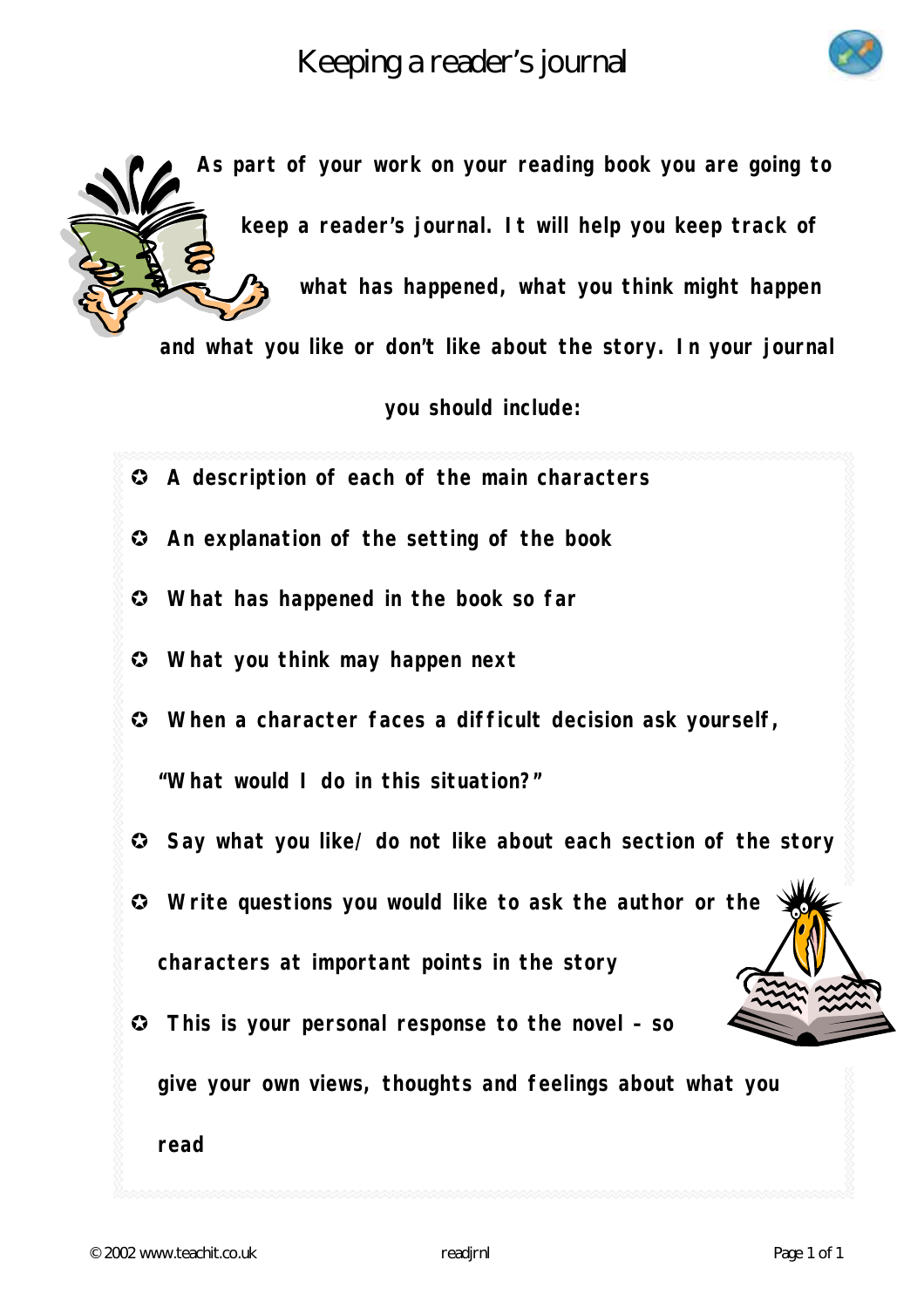Keeping a reader's journal





**As part of your work on your reading book you are going to keep a reader's journal. It will help you keep track of what has happened, what you think might happen** 

**and what you like or don't like about the story. In your journal** 

**you should include:** 

- **A description of each of the main characters**
- **An explanation of the setting of the book**
- **What has happened in the book so far**
- **What you think may happen next**
- **When a character faces a difficult decision ask yourself,**

**"What would I do in this situation?"** 

- **Say what you like/ do not like about each section of the story**
- **Write questions you would like to ask the author or the characters at important points in the story**
- **This is your personal response to the novel so**

**give your own views, thoughts and feelings about what you** 

**read**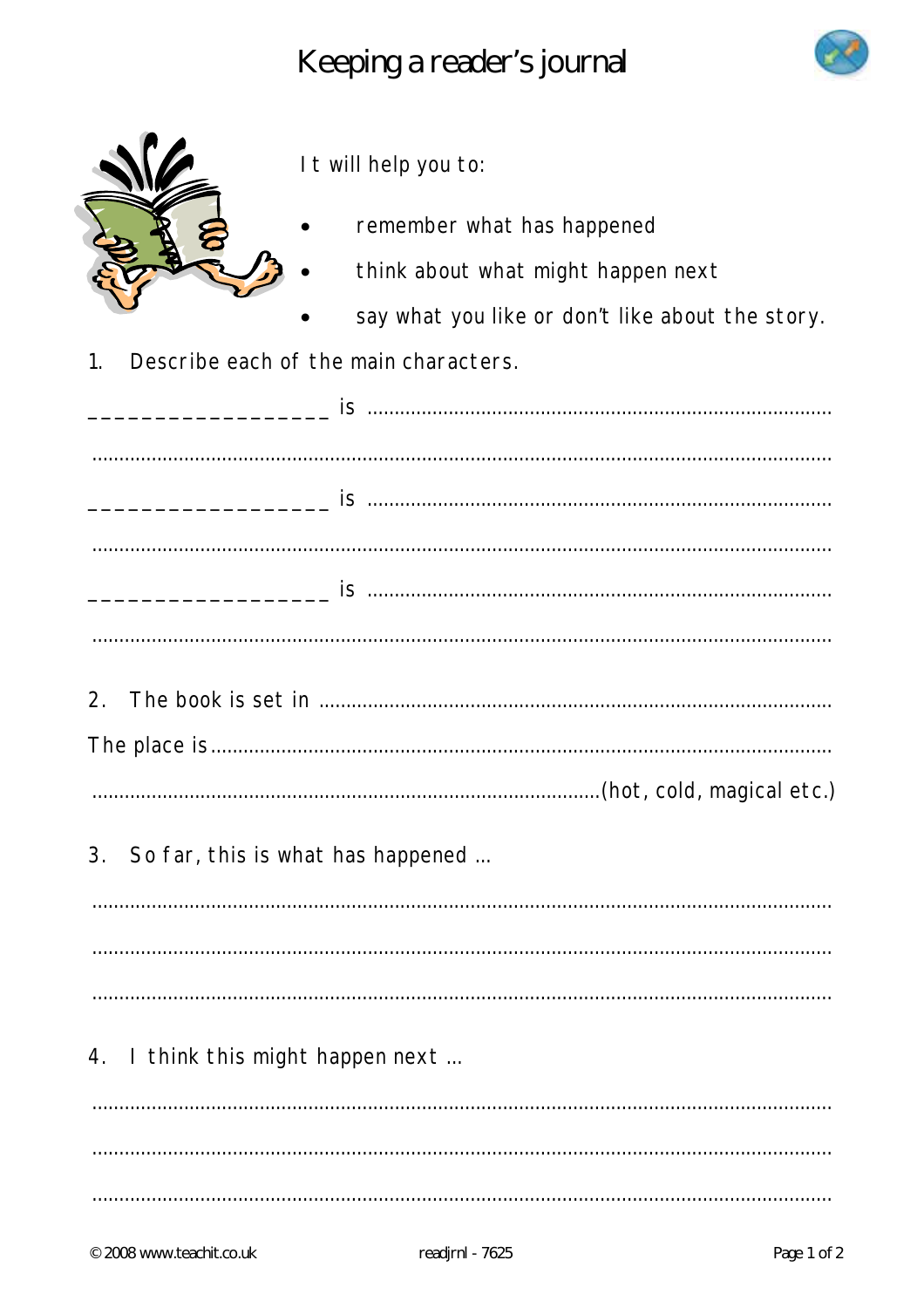Keeping a reader's journal





It will help you to:

- remember what has happened
	- think about what might happen next
	- say what you like or don't like about the story.
- Describe each of the main characters.  $\overline{1}$ .

| 3. So far, this is what has happened |
|--------------------------------------|
|                                      |
|                                      |
|                                      |
| 4. I think this might happen next    |
|                                      |
|                                      |
|                                      |